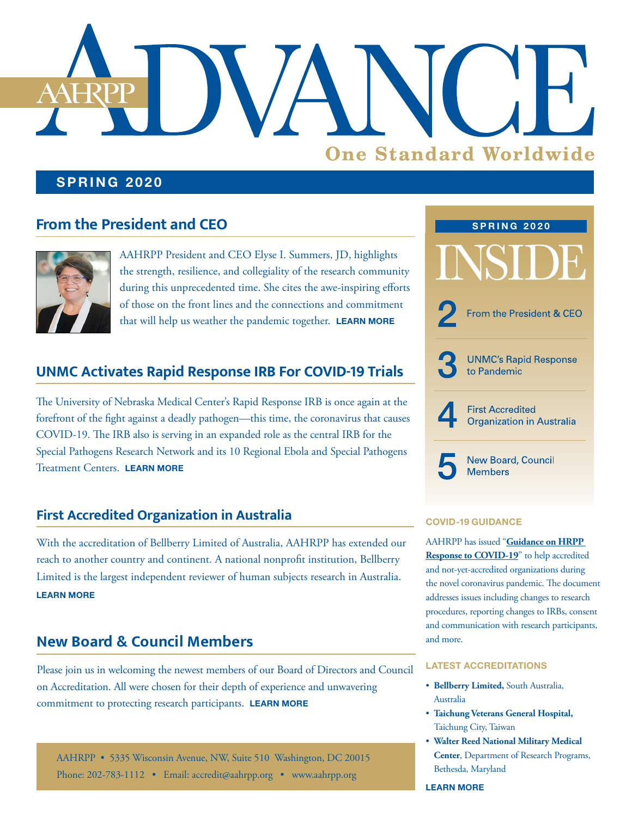# **One Standard Worldwide**

#### **SPRING 2020**

# **From the President and CEO**



AAHRPP President and CEO Elyse I. Summers, JD, highlights the strength, resilience, and collegiality of the research community during this unprecedented time. She cites the awe-inspiring efforts of those on the front lines and the connections and commitment that will help us weather the pandemic together. **[LEARN MORE](#page-1-0)**

## **UNMC Activates Rapid Response IRB For COVID-19 Trials**

The University of Nebraska Medical Center's Rapid Response IRB is once again at the forefront of the fight against a deadly pathogen—this time, the coronavirus that causes COVID-19. The IRB also is serving in an expanded role as the central IRB for the Special Pathogens Research Network and its 10 Regional Ebola and Special Pathogens Treatment Centers. **[LEARN MORE](#page-2-0)**

#### **First Accredited Organization in Australia**

With the accreditation of Bellberry Limited of Australia, AAHRPP has extended our reach to another country and continent. A national nonprofit institution, Bellberry Limited is the largest independent reviewer of human subjects research in Australia. **[LEARN MORE](#page-3-0)**

## **New Board & Council Members**

Please join us in welcoming the newest members of our Board of Directors and Council on Accreditation. All were chosen for their depth of experience and unwavering commitment to protecting research participants. **[LEARN MORE](#page-4-0)**

AAHRPP • 5335 Wisconsin Avenue, NW, Suite 510 Washington, DC 20015 Phone: 202-783-1112 • Email: [accredit@aahrpp.org](mailto:accredit%40aahrpp.org?subject=) • [www.aahrpp.org](http://www.aahrpp.org)



#### **COVID-19 GUIDANCE**

AAHRPP has issued "**[Guidance on HRPP](https://admin.aahrpp.org/Website%20Documents/Guidance%20for%20Accredited%20Organizations%20on%20COVID-19%20(2020-03-23)%20(for%20distribution).pdf)  [Response to COVID-19](https://admin.aahrpp.org/Website%20Documents/Guidance%20for%20Accredited%20Organizations%20on%20COVID-19%20(2020-03-23)%20(for%20distribution).pdf)**" to help accredited and not-yet-accredited organizations during the novel coronavirus pandemic. The document addresses issues including changes to research procedures, reporting changes to IRBs, consent and communication with research participants, and more.

#### **LATEST ACCREDITATIONS**

- **Bellberry Limited,** South Australia, Australia
- **Taichung Veterans General Hospital,**  Taichung City, Taiwan
- **Walter Reed National Military Medical Center**, Department of Research Programs, Bethesda, Maryland

**[LEARN MORE](https://admin.aahrpp.org/Website%20Documents/1st%20Q%202020%20accreditations%20release.FINAL.pdf)**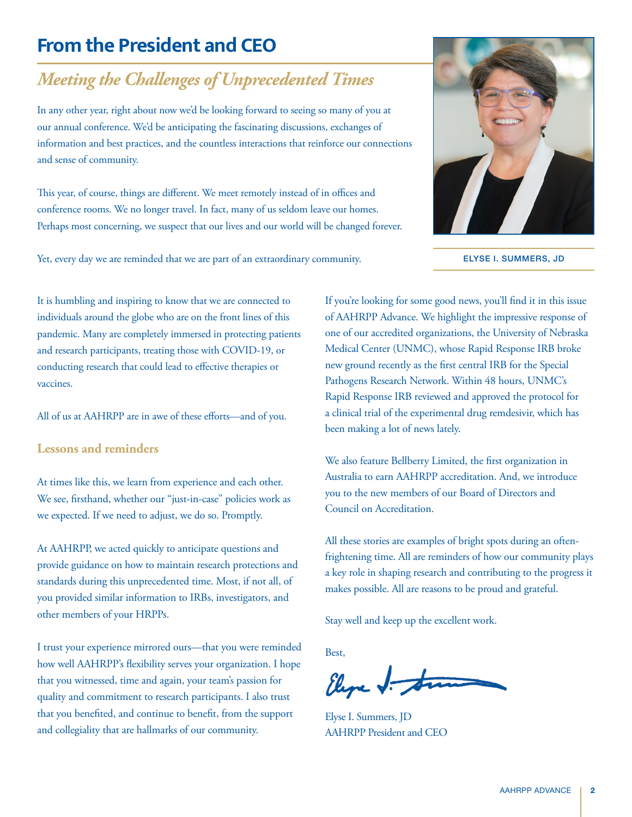# <span id="page-1-0"></span>**From the President and CEO**

# *Meeting the Challenges of Unprecedented Times*

In any other year, right about now we'd be looking forward to seeing so many of you at our annual conference. We'd be anticipating the fascinating discussions, exchanges of information and best practices, and the countless interactions that reinforce our connections and sense of community.

This year, of course, things are different. We meet remotely instead of in offices and conference rooms. We no longer travel. In fact, many of us seldom leave our homes. Perhaps most concerning, we suspect that our lives and our world will be changed forever.

Yet, every day we are reminded that we are part of an extraordinary community.



ELYSE I. SUMMERS, JD

It is humbling and inspiring to know that we are connected to individuals around the globe who are on the front lines of this pandemic. Many are completely immersed in protecting patients and research participants, treating those with COVID-19, or conducting research that could lead to effective therapies or vaccines.

All of us at AAHRPP are in awe of these efforts—and of you.

#### **Lessons and reminders**

At times like this, we learn from experience and each other. We see, firsthand, whether our "just-in-case" policies work as we expected. If we need to adjust, we do so. Promptly.

At AAHRPP, we acted quickly to anticipate questions and provide guidance on how to maintain research protections and standards during this unprecedented time. Most, if not all, of you provided similar information to IRBs, investigators, and other members of your HRPPs.

I trust your experience mirrored ours—that you were reminded how well AAHRPP's flexibility serves your organization. I hope that you witnessed, time and again, your team's passion for quality and commitment to research participants. I also trust that you benefited, and continue to benefit, from the support and collegiality that are hallmarks of our community.

If you're looking for some good news, you'll find it in this issue of AAHRPP Advance. We highlight the impressive response of one of our accredited organizations, the University of Nebraska Medical Center (UNMC), whose Rapid Response IRB broke new ground recently as the first central IRB for the Special Pathogens Research Network. Within 48 hours, UNMC's Rapid Response IRB reviewed and approved the protocol for a clinical trial of the experimental drug remdesivir, which has been making a lot of news lately.

We also feature Bellberry Limited, the first organization in Australia to earn AAHRPP accreditation. And, we introduce you to the new members of our Board of Directors and Council on Accreditation.

All these stories are examples of bright spots during an oftenfrightening time. All are reminders of how our community plays a key role in shaping research and contributing to the progress it makes possible. All are reasons to be proud and grateful.

Stay well and keep up the excellent work.

Best,

Elyse J. to

Elyse I. Summers, JD AAHRPP President and CEO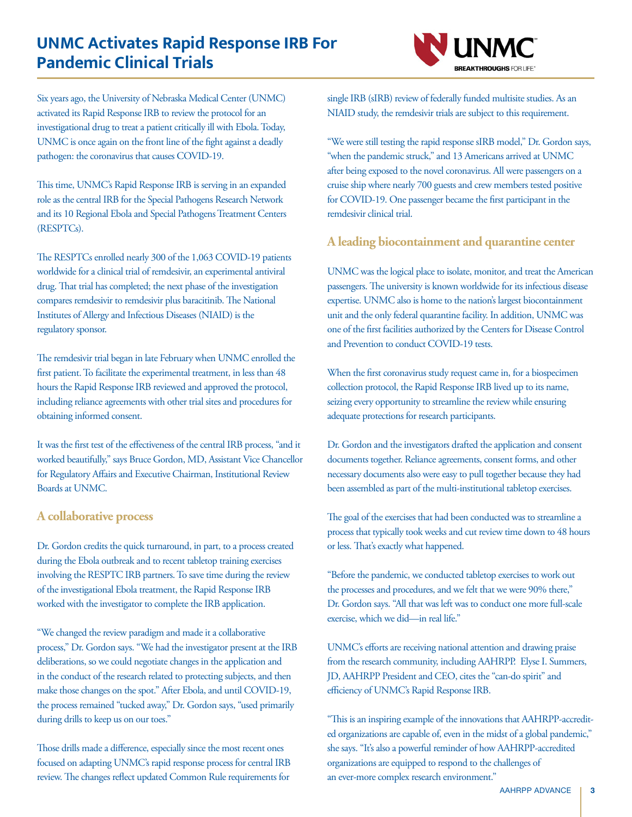# <span id="page-2-0"></span>**UNMC Activates Rapid Response IRB For Pandemic Clinical Trials**



Six years ago, the University of Nebraska Medical Center (UNMC) activated its Rapid Response IRB to review the protocol for an investigational drug to treat a patient critically ill with Ebola. Today, UNMC is once again on the front line of the fight against a deadly pathogen: the coronavirus that causes COVID-19.

This time, UNMC's Rapid Response IRB is serving in an expanded role as the central IRB for the Special Pathogens Research Network and its 10 Regional Ebola and Special Pathogens Treatment Centers (RESPTCs).

The RESPTCs enrolled nearly 300 of the 1,063 COVID-19 patients worldwide for a clinical trial of remdesivir, an experimental antiviral drug. That trial has completed; the next phase of the investigation compares remdesivir to remdesivir plus baracitinib. The National Institutes of Allergy and Infectious Diseases (NIAID) is the regulatory sponsor.

The remdesivir trial began in late February when UNMC enrolled the first patient. To facilitate the experimental treatment, in less than 48 hours the Rapid Response IRB reviewed and approved the protocol, including reliance agreements with other trial sites and procedures for obtaining informed consent.

It was the first test of the effectiveness of the central IRB process, "and it worked beautifully," says Bruce Gordon, MD, Assistant Vice Chancellor for Regulatory Affairs and Executive Chairman, Institutional Review Boards at UNMC.

#### **A collaborative process**

Dr. Gordon credits the quick turnaround, in part, to a process created during the Ebola outbreak and to recent tabletop training exercises involving the RESPTC IRB partners. To save time during the review of the investigational Ebola treatment, the Rapid Response IRB worked with the investigator to complete the IRB application.

"We changed the review paradigm and made it a collaborative process," Dr. Gordon says. "We had the investigator present at the IRB deliberations, so we could negotiate changes in the application and in the conduct of the research related to protecting subjects, and then make those changes on the spot." After Ebola, and until COVID-19, the process remained "tucked away," Dr. Gordon says, "used primarily during drills to keep us on our toes."

Those drills made a difference, especially since the most recent ones focused on adapting UNMC's rapid response process for central IRB review. The changes reflect updated Common Rule requirements for single IRB (sIRB) review of federally funded multisite studies. As an NIAID study, the remdesivir trials are subject to this requirement.

"We were still testing the rapid response sIRB model," Dr. Gordon says, "when the pandemic struck," and 13 Americans arrived at UNMC after being exposed to the novel coronavirus. All were passengers on a cruise ship where nearly 700 guests and crew members tested positive for COVID-19. One passenger became the first participant in the remdesivir clinical trial.

#### **A leading biocontainment and quarantine center**

UNMC was the logical place to isolate, monitor, and treat the American passengers. The university is known worldwide for its infectious disease expertise. UNMC also is home to the nation's largest biocontainment unit and the only federal quarantine facility. In addition, UNMC was one of the first facilities authorized by the Centers for Disease Control and Prevention to conduct COVID-19 tests.

When the first coronavirus study request came in, for a biospecimen collection protocol, the Rapid Response IRB lived up to its name, seizing every opportunity to streamline the review while ensuring adequate protections for research participants.

Dr. Gordon and the investigators drafted the application and consent documents together. Reliance agreements, consent forms, and other necessary documents also were easy to pull together because they had been assembled as part of the multi-institutional tabletop exercises.

The goal of the exercises that had been conducted was to streamline a process that typically took weeks and cut review time down to 48 hours or less. That's exactly what happened.

"Before the pandemic, we conducted tabletop exercises to work out the processes and procedures, and we felt that we were 90% there," Dr. Gordon says. "All that was left was to conduct one more full-scale exercise, which we did—in real life."

UNMC's efforts are receiving national attention and drawing praise from the research community, including AAHRPP. Elyse I. Summers, JD, AAHRPP President and CEO, cites the "can-do spirit" and efficiency of UNMC's Rapid Response IRB.

"This is an inspiring example of the innovations that AAHRPP-accredited organizations are capable of, even in the midst of a global pandemic," she says. "It's also a powerful reminder of how AAHRPP-accredited organizations are equipped to respond to the challenges of an ever-more complex research environment."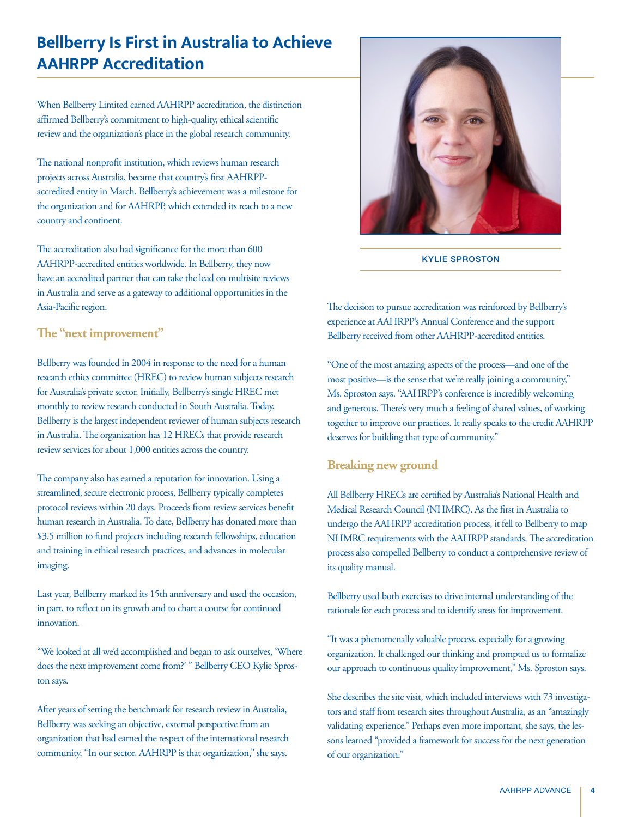# <span id="page-3-0"></span>**Bellberry Is First in Australia to Achieve AAHRPP Accreditation**

When Bellberry Limited earned AAHRPP accreditation, the distinction affirmed Bellberry's commitment to high-quality, ethical scientific review and the organization's place in the global research community.

The national nonprofit institution, which reviews human research projects across Australia, became that country's first AAHRPPaccredited entity in March. Bellberry's achievement was a milestone for the organization and for AAHRPP, which extended its reach to a new country and continent.

The accreditation also had significance for the more than 600 AAHRPP-accredited entities worldwide. In Bellberry, they now have an accredited partner that can take the lead on multisite reviews in Australia and serve as a gateway to additional opportunities in the Asia-Pacific region.

#### **The "next improvement"**

Bellberry was founded in 2004 in response to the need for a human research ethics committee (HREC) to review human subjects research for Australia's private sector. Initially, Bellberry's single HREC met monthly to review research conducted in South Australia. Today, Bellberry is the largest independent reviewer of human subjects research in Australia. The organization has 12 HRECs that provide research review services for about 1,000 entities across the country.

The company also has earned a reputation for innovation. Using a streamlined, secure electronic process, Bellberry typically completes protocol reviews within 20 days. Proceeds from review services benefit human research in Australia. To date, Bellberry has donated more than \$3.5 million to fund projects including research fellowships, education and training in ethical research practices, and advances in molecular imaging.

Last year, Bellberry marked its 15th anniversary and used the occasion, in part, to reflect on its growth and to chart a course for continued innovation.

"We looked at all we'd accomplished and began to ask ourselves, 'Where does the next improvement come from?' " Bellberry CEO Kylie Sproston says.

After years of setting the benchmark for research review in Australia, Bellberry was seeking an objective, external perspective from an organization that had earned the respect of the international research community. "In our sector, AAHRPP is that organization," she says.



KYLIE SPROSTON

The decision to pursue accreditation was reinforced by Bellberry's experience at AAHRPP's Annual Conference and the support Bellberry received from other AAHRPP-accredited entities.

"One of the most amazing aspects of the process—and one of the most positive—is the sense that we're really joining a community," Ms. Sproston says. "AAHRPP's conference is incredibly welcoming and generous. There's very much a feeling of shared values, of working together to improve our practices. It really speaks to the credit AAHRPP deserves for building that type of community."

#### **Breaking new ground**

All Bellberry HRECs are certified by Australia's National Health and Medical Research Council (NHMRC). As the first in Australia to undergo the AAHRPP accreditation process, it fell to Bellberry to map NHMRC requirements with the AAHRPP standards. The accreditation process also compelled Bellberry to conduct a comprehensive review of its quality manual.

Bellberry used both exercises to drive internal understanding of the rationale for each process and to identify areas for improvement.

"It was a phenomenally valuable process, especially for a growing organization. It challenged our thinking and prompted us to formalize our approach to continuous quality improvement," Ms. Sproston says.

She describes the site visit, which included interviews with 73 investigators and staff from research sites throughout Australia, as an "amazingly validating experience." Perhaps even more important, she says, the lessons learned "provided a framework for success for the next generation of our organization."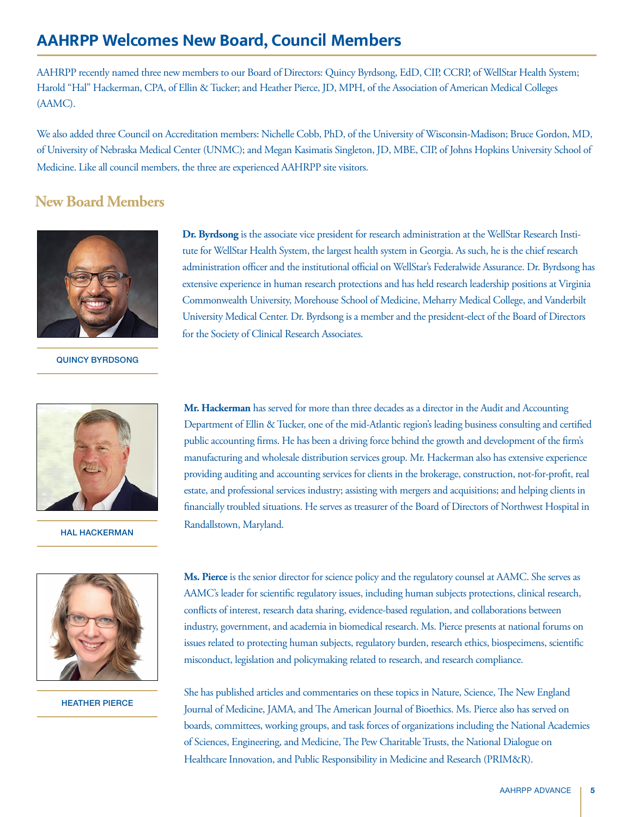# <span id="page-4-0"></span>**AAHRPP Welcomes New Board, Council Members**

AAHRPP recently named three new members to our Board of Directors: Quincy Byrdsong, EdD, CIP, CCRP, of WellStar Health System; Harold "Hal" Hackerman, CPA, of Ellin & Tucker; and Heather Pierce, JD, MPH, of the Association of American Medical Colleges (AAMC).

We also added three Council on Accreditation members: Nichelle Cobb, PhD, of the University of Wisconsin-Madison; Bruce Gordon, MD, of University of Nebraska Medical Center (UNMC); and Megan Kasimatis Singleton, JD, MBE, CIP, of Johns Hopkins University School of Medicine. Like all council members, the three are experienced AAHRPP site visitors.

### **New Board Members**



#### QUINCY BYRDSONG



HAL HACKERMAN



HEATHER PIERCE

**Dr. Byrdsong** is the associate vice president for research administration at the WellStar Research Institute for WellStar Health System, the largest health system in Georgia. As such, he is the chief research administration officer and the institutional official on WellStar's Federalwide Assurance. Dr. Byrdsong has extensive experience in human research protections and has held research leadership positions at Virginia Commonwealth University, Morehouse School of Medicine, Meharry Medical College, and Vanderbilt University Medical Center. Dr. Byrdsong is a member and the president-elect of the Board of Directors for the Society of Clinical Research Associates.

**Mr. Hackerman** has served for more than three decades as a director in the Audit and Accounting Department of Ellin & Tucker, one of the mid-Atlantic region's leading business consulting and certified public accounting firms. He has been a driving force behind the growth and development of the firm's manufacturing and wholesale distribution services group. Mr. Hackerman also has extensive experience providing auditing and accounting services for clients in the brokerage, construction, not-for-profit, real estate, and professional services industry; assisting with mergers and acquisitions; and helping clients in financially troubled situations. He serves as treasurer of the Board of Directors of Northwest Hospital in Randallstown, Maryland.

**Ms. Pierce** is the senior director for science policy and the regulatory counsel at AAMC. She serves as AAMC's leader for scientific regulatory issues, including human subjects protections, clinical research, conflicts of interest, research data sharing, evidence-based regulation, and collaborations between industry, government, and academia in biomedical research. Ms. Pierce presents at national forums on issues related to protecting human subjects, regulatory burden, research ethics, biospecimens, scientific misconduct, legislation and policymaking related to research, and research compliance.

She has published articles and commentaries on these topics in Nature, Science, The New England Journal of Medicine, JAMA, and The American Journal of Bioethics. Ms. Pierce also has served on boards, committees, working groups, and task forces of organizations including the National Academies of Sciences, Engineering, and Medicine, The Pew Charitable Trusts, the National Dialogue on Healthcare Innovation, and Public Responsibility in Medicine and Research (PRIM&R).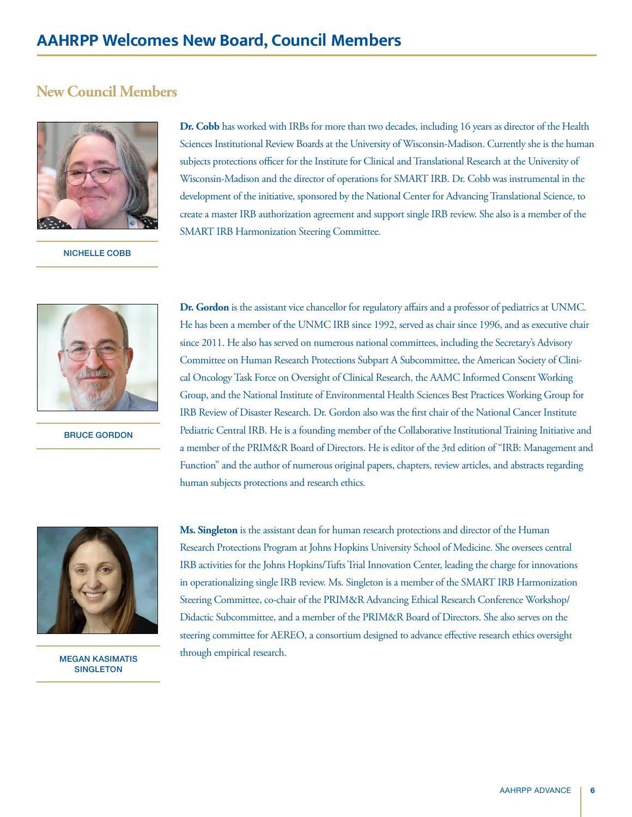#### **New Council Members**



NICHELLE COBB

**Dr. Cobb** has worked with IRBs for more than two decades, including 16 years as director of the Health Sciences Institutional Review Boards at the University of Wisconsin-Madison. Currently she is the human subjects protections officer for the Institute for Clinical and Translational Research at the University of Wisconsin-Madison and the director of operations for SMART IRB. Dr. Cobb was instrumental in the development of the initiative, sponsored by the National Center for Advancing Translational Science, to create a master IRB authorization agreement and support single IRB review. She also is a member of the SMART IRB Harmonization Steering Committee.



BRUCE GORDON

**Dr. Gordon** is the assistant vice chancellor for regulatory affairs and a professor of pediatrics at UNMC. He has been a member of the UNMC IRB since 1992, served as chair since 1996, and as executive chair since 2011. He also has served on numerous national committees, including the Secretary's Advisory Committee on Human Research Protections Subpart A Subcommittee, the American Society of Clinical Oncology Task Force on Oversight of Clinical Research, the AAMC Informed Consent Working Group, and the National Institute of Environmental Health Sciences Best Practices Working Group for IRB Review of Disaster Research. Dr. Gordon also was the first chair of the National Cancer Institute Pediatric Central IRB. He is a founding member of the Collaborative Institutional Training Initiative and a member of the PRIM&R Board of Directors. He is editor of the 3rd edition of "IRB: Management and Function" and the author of numerous original papers, chapters, review articles, and abstracts regarding human subjects protections and research ethics.



MEGAN KASIMATIS **SINGLETON** 

**Ms. Singleton** is the assistant dean for human research protections and director of the Human Research Protections Program at Johns Hopkins University School of Medicine. She oversees central IRB activities for the Johns Hopkins/Tufts Trial Innovation Center, leading the charge for innovations in operationalizing single IRB review. Ms. Singleton is a member of the SMART IRB Harmonization Steering Committee, co-chair of the PRIM&R Advancing Ethical Research Conference Workshop/ Didactic Subcommittee, and a member of the PRIM&R Board of Directors. She also serves on the steering committee for AEREO, a consortium designed to advance effective research ethics oversight through empirical research.